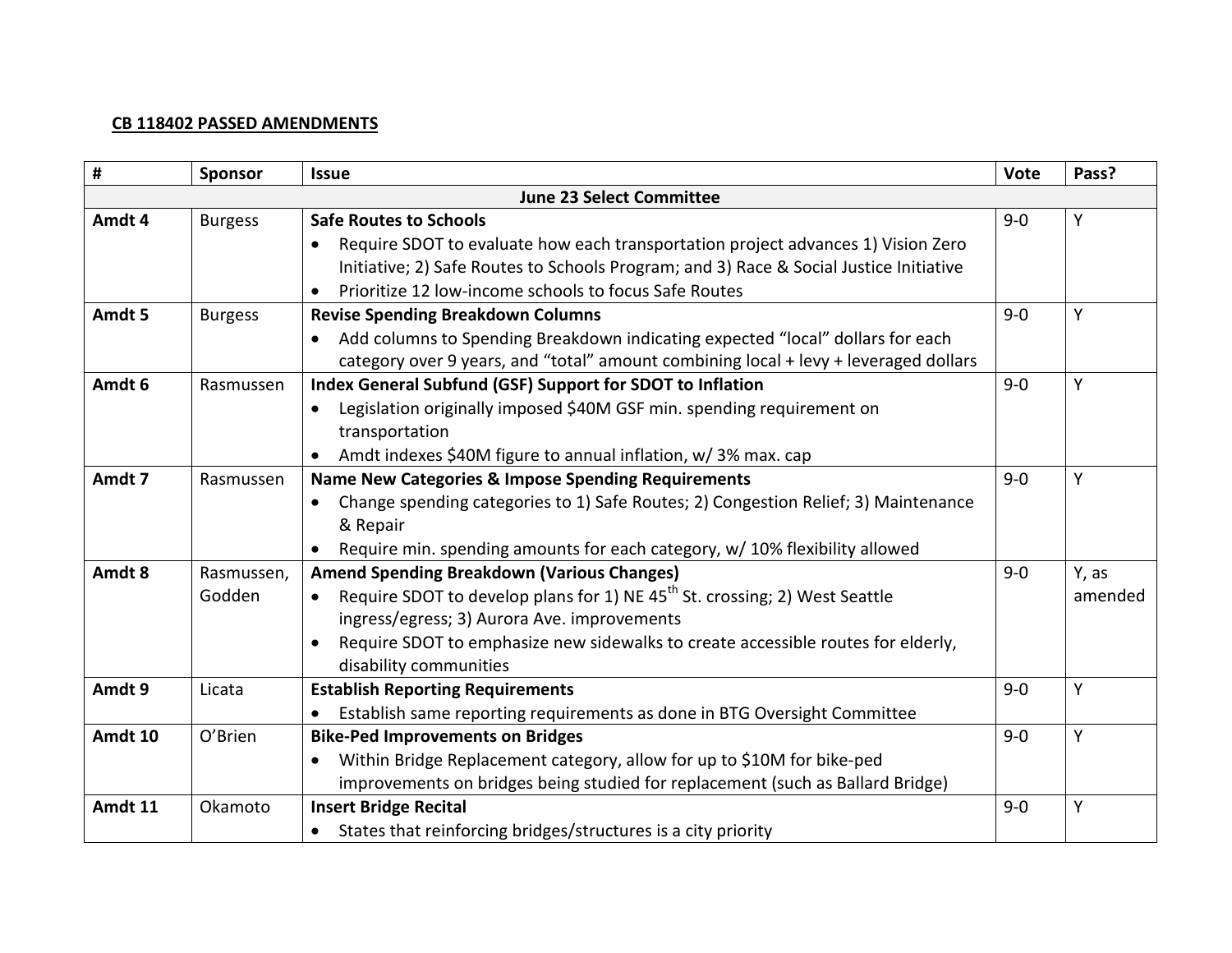## **CB 118402 PASSED AMENDMENTS**

| #                               | Sponsor              | <b>Issue</b>                                                                                                                                                                                                                                                                                             | Vote    | Pass?            |  |  |
|---------------------------------|----------------------|----------------------------------------------------------------------------------------------------------------------------------------------------------------------------------------------------------------------------------------------------------------------------------------------------------|---------|------------------|--|--|
| <b>June 23 Select Committee</b> |                      |                                                                                                                                                                                                                                                                                                          |         |                  |  |  |
| Amdt 4                          | <b>Burgess</b>       | <b>Safe Routes to Schools</b><br>Require SDOT to evaluate how each transportation project advances 1) Vision Zero<br>Initiative; 2) Safe Routes to Schools Program; and 3) Race & Social Justice Initiative<br>Prioritize 12 low-income schools to focus Safe Routes                                     | $9 - 0$ | Y                |  |  |
| Amdt 5                          | <b>Burgess</b>       | <b>Revise Spending Breakdown Columns</b><br>Add columns to Spending Breakdown indicating expected "local" dollars for each<br>category over 9 years, and "total" amount combining local + levy + leveraged dollars                                                                                       | $9 - 0$ | Y                |  |  |
| Amdt 6                          | Rasmussen            | Index General Subfund (GSF) Support for SDOT to Inflation<br>Legislation originally imposed \$40M GSF min. spending requirement on<br>transportation<br>Amdt indexes \$40M figure to annual inflation, w/ 3% max. cap                                                                                    | $9 - 0$ | Y                |  |  |
| Amdt 7                          | Rasmussen            | <b>Name New Categories &amp; Impose Spending Requirements</b><br>Change spending categories to 1) Safe Routes; 2) Congestion Relief; 3) Maintenance<br>& Repair<br>Require min. spending amounts for each category, w/ 10% flexibility allowed                                                           | $9 - 0$ | Y                |  |  |
| Amdt 8                          | Rasmussen,<br>Godden | <b>Amend Spending Breakdown (Various Changes)</b><br>Require SDOT to develop plans for 1) NE 45 <sup>th</sup> St. crossing; 2) West Seattle<br>ingress/egress; 3) Aurora Ave. improvements<br>Require SDOT to emphasize new sidewalks to create accessible routes for elderly,<br>disability communities | $9 - 0$ | Y, as<br>amended |  |  |
| Amdt 9                          | Licata               | <b>Establish Reporting Requirements</b><br>Establish same reporting requirements as done in BTG Oversight Committee                                                                                                                                                                                      | $9 - 0$ | Y                |  |  |
| Amdt 10                         | O'Brien              | <b>Bike-Ped Improvements on Bridges</b><br>Within Bridge Replacement category, allow for up to \$10M for bike-ped<br>improvements on bridges being studied for replacement (such as Ballard Bridge)                                                                                                      | $9 - 0$ | Υ                |  |  |
| Amdt 11                         | Okamoto              | <b>Insert Bridge Recital</b><br>• States that reinforcing bridges/structures is a city priority                                                                                                                                                                                                          | $9 - 0$ | Y                |  |  |